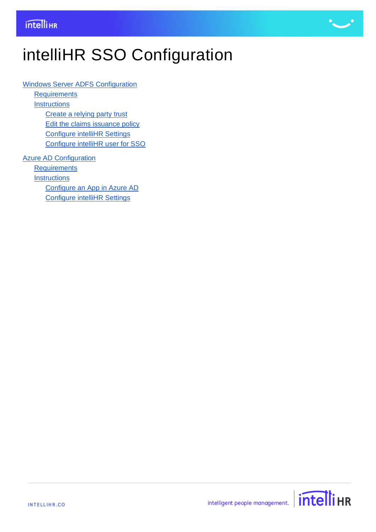

# intelliHR SSO Configuration

[Windows Server ADFS Configuration](#page-1-0)

**[Requirements](#page-1-1) [Instructions](#page-1-2)** [Create a relying party trust](#page-1-3) [Edit the claims issuance policy](#page-3-0)

[Configure intelliHR Settings](#page-4-0)

[Configure intelliHR user for SSO](#page-5-0)

[Azure AD Configuration](#page-6-0) **[Requirements](#page-6-1) [Instructions](#page-6-2)** [Configure an App in Azure AD](#page-6-3) [Configure intelliHR Settings](#page-9-0)

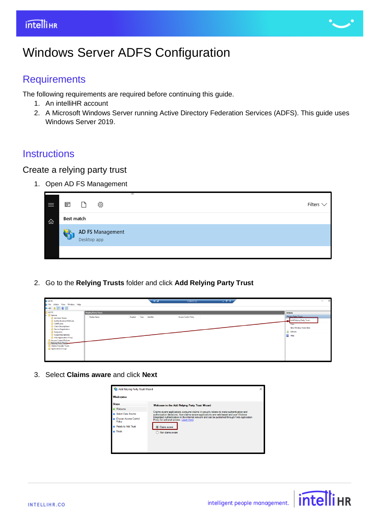

## <span id="page-1-0"></span>Windows Server ADFS Configuration

### <span id="page-1-1"></span>**Requirements**

The following requirements are required before continuing this guide.

- 1. An intelliHR account
- <span id="page-1-3"></span>2. A Microsoft Windows Server running Active Directory Federation Services (ADFS). This guide uses Windows Server 2019.

#### <span id="page-1-2"></span>**Instructions**

## Create a relying party trust

1. Open AD FS Management

| $\equiv$ | $\overline{\mathbb{F}}$ | $\Box$      | ु                | ш. |  |  | Filters $\vee$ |
|----------|-------------------------|-------------|------------------|----|--|--|----------------|
| ⋒        | Best match              |             |                  |    |  |  |                |
|          |                         | Desktop app | AD FS Management |    |  |  |                |
|          |                         |             |                  |    |  |  |                |

2. Go to the **Relying Trusts** folder and click **Add Relying Party Trust**

| <b>D</b> AD FS                                                                                                                                                                                                                                                                                                                               |                             | $+$ also                          | 3.104.55.122          | $   -$ | ு<br>$\sim$                                                                                                          |
|----------------------------------------------------------------------------------------------------------------------------------------------------------------------------------------------------------------------------------------------------------------------------------------------------------------------------------------------|-----------------------------|-----------------------------------|-----------------------|--------|----------------------------------------------------------------------------------------------------------------------|
| <b>Il File Action View Window Help</b>                                                                                                                                                                                                                                                                                                       |                             |                                   |                       |        |                                                                                                                      |
| $\rightarrow$ $\blacksquare$ $\blacksquare$                                                                                                                                                                                                                                                                                                  |                             |                                   |                       |        |                                                                                                                      |
| AD <sub>FS</sub>                                                                                                                                                                                                                                                                                                                             | <b>Relying Party Trusts</b> |                                   |                       |        | Actions                                                                                                              |
| $~\vee$ $~\blacksquare$ Service<br><b>Attribute Stores</b><br><b>Authentication Methods</b><br>Certificates<br>Claim Descriptions<br><b>Device Registration</b><br><b>Endpoints</b><br>Scope Descriptions<br>Web Application Proxy<br><b>Access Control Policies</b><br>Relying Party Trusts<br>Claims Provider Trusts<br>Application Groups | Display Name                | Enabled Type<br><b>Identifier</b> | Access Control Policy |        | <b>Relving Party Trusts</b><br>Add Relying Party Trust<br>View<br>New Window from Here<br>C Refresh<br><b>B</b> Help |

3. Select **Claims aware** and click **Next**



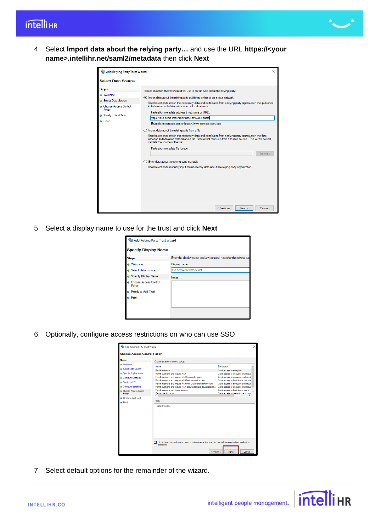

4. Select **Import data about the relying party…** and use the URL **https://<your name>.intellihr.net/saml2/metadata** then click **Next**

| Add Relying Party Trust Wizard                                                                                                       | $\times$                                                                                                                                                                                                                                                                                                                                                                                                                                                                                                                                                                                                                                                                                                                                                                                                                                                                                                                                                                                                                                           |
|--------------------------------------------------------------------------------------------------------------------------------------|----------------------------------------------------------------------------------------------------------------------------------------------------------------------------------------------------------------------------------------------------------------------------------------------------------------------------------------------------------------------------------------------------------------------------------------------------------------------------------------------------------------------------------------------------------------------------------------------------------------------------------------------------------------------------------------------------------------------------------------------------------------------------------------------------------------------------------------------------------------------------------------------------------------------------------------------------------------------------------------------------------------------------------------------------|
| <b>Select Data Source</b>                                                                                                            |                                                                                                                                                                                                                                                                                                                                                                                                                                                                                                                                                                                                                                                                                                                                                                                                                                                                                                                                                                                                                                                    |
| <b>Steps</b><br>@ Welcome<br><b>a</b> Select Data Source<br>Choose Access Control<br>Policy<br>Ready to Add Trust<br><b>a</b> Finish | Select an option that this wizard will use to obtain data about this relying party:<br>(a) Import data about the relying party published online or on a local network<br>Use this option to import the necessary data and certificates from a relying party organization that publishes<br>its federation metadata online or on a local network.<br>Federation metadata address (host name or URL):<br>https://sso-demo.intellihrdev.net/saml2/metadatal<br>Example: fs.contoso.com or https://www.contoso.com/app<br>$\bigcirc$ Import data about the relying party from a file<br>Use this option to import the necessary data and certificates from a relying party organization that has<br>exported its federation metadata to a file. Ensure that this file is from a trusted source. This wizard will not<br>validate the source of the file.<br>Federation metadata file location:<br>Browse<br>Enter data about the relying party manually<br>Use this option to manually input the necessary data about this relying party organization. |
|                                                                                                                                      | < Previous<br>Next<br>Cancel                                                                                                                                                                                                                                                                                                                                                                                                                                                                                                                                                                                                                                                                                                                                                                                                                                                                                                                                                                                                                       |

5. Select a display name to use for the trust and click **Next**

| Add Relying Party Trust Wizard         |                                                                    |  |  |  |  |  |  |
|----------------------------------------|--------------------------------------------------------------------|--|--|--|--|--|--|
| <b>Specify Display Name</b>            |                                                                    |  |  |  |  |  |  |
| <b>Steps</b>                           | Enter the display name and any optional notes for this relying par |  |  |  |  |  |  |
| Welcome                                | Display name:                                                      |  |  |  |  |  |  |
| Select Data Source                     | aso-demo.intellihrdev.net                                          |  |  |  |  |  |  |
| Specify Display Name                   | Notes:                                                             |  |  |  |  |  |  |
| <b>Choose Access Control</b><br>Policy |                                                                    |  |  |  |  |  |  |
| Ready to Add Trust                     |                                                                    |  |  |  |  |  |  |
| Finish                                 |                                                                    |  |  |  |  |  |  |
|                                        |                                                                    |  |  |  |  |  |  |

6. Optionally, configure access restrictions on who can use SSO

| <b>Vill Add Relying Party Trust Wizard</b> |                                                                                                                            |                                       | $\times$ |
|--------------------------------------------|----------------------------------------------------------------------------------------------------------------------------|---------------------------------------|----------|
| <b>Choose Access Control Policy</b>        |                                                                                                                            |                                       |          |
| <b>Steps</b>                               | Choose an access control policy:                                                                                           |                                       |          |
| <b>Welcome</b>                             | Name                                                                                                                       | Description                           |          |
| <b>Select Data Source</b>                  | Permit everyone                                                                                                            | Grant access to everyone.             |          |
| Specify Display Name                       | Permit everyone and require MFA                                                                                            | Grant access to everyone and requir   |          |
|                                            | Permit everyone and require MFA for specific group                                                                         | Grant access to everyone and requir   |          |
| <b>Configure Certificate</b>               | Permit everyone and require MFA from extranet access                                                                       | Grant access to the intranet users an |          |
| <b>Configure URL</b>                       | Permit everyone and require MFA from unauthenticated devices                                                               | Grant access to everyone and requir   |          |
| Configure Identifiers                      | Permit everyone and require MFA, allow automatic device registr                                                            | Grant access to everyone and requir   |          |
| <b>Choose Access Control</b>               | Permit everyone for intranet access                                                                                        | Grant access to the intranet users.   |          |
| Policy                                     | <b>Pamil engotio amin</b>                                                                                                  | Grant annael to users of one or more  |          |
| Ready to Add Trust                         | e                                                                                                                          | ,                                     |          |
| <b>a</b> Finish                            | Policy                                                                                                                     |                                       |          |
|                                            | Permit everyone                                                                                                            |                                       |          |
|                                            | I do not want to configure access control policies at this time. No user will be permitted access for this<br>application. |                                       |          |
|                                            | < Previous                                                                                                                 | Next<br>Cancel                        |          |

7. Select default options for the remainder of the wizard.

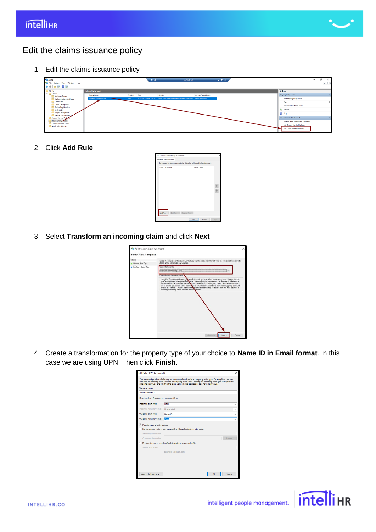

### <span id="page-3-0"></span>Edit the claims issuance policy

1. Edit the claims issuance policy



#### 2. Click **Add Rule**

| Issuance Transform Rules                                                                 |                       |                      |  |
|------------------------------------------------------------------------------------------|-----------------------|----------------------|--|
| The following transform rules specify the claims that will be sent to the relying party. |                       |                      |  |
| Order Rule Name                                                                          |                       | <b>Issued Claims</b> |  |
|                                                                                          |                       |                      |  |
|                                                                                          |                       |                      |  |
|                                                                                          |                       |                      |  |
|                                                                                          |                       |                      |  |
| Add Rule                                                                                 | Edit Rule Benove Rule |                      |  |

3. Select **Transform an incoming claim** and click **Next**



4. Create a transformation for the property type of your choice to **Name ID in Email format**. In this case we are using UPN. Then click **Finish**.

|                                                                                                                                                                                                                                                                                                                    | Edit Rule - UPN to Name ID                                                                                 |  |  |  |  |  |  |  |
|--------------------------------------------------------------------------------------------------------------------------------------------------------------------------------------------------------------------------------------------------------------------------------------------------------------------|------------------------------------------------------------------------------------------------------------|--|--|--|--|--|--|--|
| You can configure this rule to map an incoming claim type to an outgoing claim type. As an option, you can<br>also map an incoming claim value to an outgoing claim value. Specify the incoming claim type to map to the<br>outgoing claim type and whether the claim value should be mapped to a new claim value. |                                                                                                            |  |  |  |  |  |  |  |
| Claim rule name:                                                                                                                                                                                                                                                                                                   |                                                                                                            |  |  |  |  |  |  |  |
| <b>UPN to Name ID</b>                                                                                                                                                                                                                                                                                              |                                                                                                            |  |  |  |  |  |  |  |
| Rule template: Transform an Incoming Claim                                                                                                                                                                                                                                                                         |                                                                                                            |  |  |  |  |  |  |  |
| Incoming claim type:                                                                                                                                                                                                                                                                                               | LIPN                                                                                                       |  |  |  |  |  |  |  |
| Incoming name ID format:                                                                                                                                                                                                                                                                                           | Unspecified                                                                                                |  |  |  |  |  |  |  |
| Outgoing claim type:                                                                                                                                                                                                                                                                                               | Name ID                                                                                                    |  |  |  |  |  |  |  |
| Outgoing name ID format:                                                                                                                                                                                                                                                                                           | Email                                                                                                      |  |  |  |  |  |  |  |
| Incoming claim value:<br>Outgoing claim value:                                                                                                                                                                                                                                                                     | C Pass through all claim values<br>◯ Replace an incoming claim value with a different outgoing claim value |  |  |  |  |  |  |  |
|                                                                                                                                                                                                                                                                                                                    | Browse<br>○ Replace incoming e-mail suffix claims with a new e-mail suffix                                 |  |  |  |  |  |  |  |
| New e-mail suffix:                                                                                                                                                                                                                                                                                                 |                                                                                                            |  |  |  |  |  |  |  |
|                                                                                                                                                                                                                                                                                                                    |                                                                                                            |  |  |  |  |  |  |  |
| Example: fabrikam.com                                                                                                                                                                                                                                                                                              |                                                                                                            |  |  |  |  |  |  |  |
| View Rule Language                                                                                                                                                                                                                                                                                                 | Cancel<br>OК                                                                                               |  |  |  |  |  |  |  |

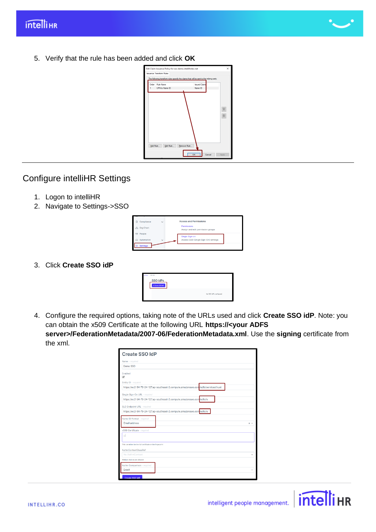

5. Verify that the rule has been added and click **OK**



## <span id="page-4-0"></span>Configure intelliHR Settings

- 1. Logon to intelliHR
- 2. Navigate to Settings->SSO

| ы | Compliance                | $\checkmark$ | <b>Access and Permissions</b>                    |  |
|---|---------------------------|--------------|--------------------------------------------------|--|
|   | LE <sub>3</sub> Org Chart |              | Permissions<br>Assign and edit permission groups |  |
|   | 图 People                  |              | Single Sign-on                                   |  |
|   | Automation                | $\checkmark$ | Access SSO (Single Sign-On) settings             |  |
|   | <b>Settings</b>           |              |                                                  |  |

3. Click **Create SSO idP**

| Settings / \$50 lphs                 |                        |
|--------------------------------------|------------------------|
| <b>SSO IdPs</b><br>+ Create \$50 ktP |                        |
|                                      | No SSO IdPs configured |

4. Configure the required options, taking note of the URLs used and click **Create SSO idP**. Note: you can obtain the x509 Certificate at the following URL **https://<your ADFS server>/FederationMetadata/2007-06/FederationMetadata.xml**. Use the **signing** certificate from the xml.

| <b>Create SSO IdP</b>                                                             |       |
|-----------------------------------------------------------------------------------|-------|
| Name - required                                                                   |       |
| Demo SSO                                                                          |       |
| Enabled<br>$\blacktriangledown$                                                   |       |
| Entity ID - required                                                              |       |
| https://ec2-54-79-24-127.ap-southeast-2.compute.amazonaws.com/adfs/services/trust |       |
| Single Sign-On URL - required                                                     |       |
| https://ec2-54-79-24-127.ap-southeast-2.compute.amazonaws.com/adfs/ls             |       |
| SLO Endpoint URL - required                                                       |       |
| https://ec2-54-79-24-127.ap-southeast-2.compute.amazonaws.com/adfs/ls             |       |
| Name ID Format - required                                                         |       |
| Email address                                                                     | $x -$ |
| x509 Certificate - required                                                       |       |
| шļ                                                                                |       |
|                                                                                   |       |
| This can either be the full certificate or the fingerprint                        |       |
| AuthnContextClassRef                                                              |       |
| No AuthnContext                                                                   |       |
| Multiple choices are allowed                                                      |       |
| Authn Comparison - required                                                       |       |
| Exact                                                                             |       |
| Create SSO IdP                                                                    |       |

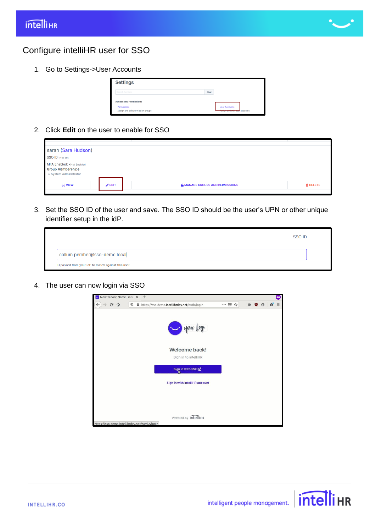

#### <span id="page-5-0"></span>Configure intelliHR user for SSO

1. Go to Settings->User Accounts

| <b>Settings</b>                                  |       |                                                       |
|--------------------------------------------------|-------|-------------------------------------------------------|
| Search Settings                                  | Clear |                                                       |
| <b>Access and Permissions</b>                    |       |                                                       |
| Permissions<br>Assign and edit permission groups |       | <b>User Accounts</b><br>Assign and edit user accounts |

2. Click **Edit** on the user to enable for SSO

| sarah (Sara Hudson)                                                                    |                  |                                 |                 |
|----------------------------------------------------------------------------------------|------------------|---------------------------------|-----------------|
| <b>SSO ID: Not set</b>                                                                 |                  |                                 |                 |
| <b>MFA Enabled: XNot Enabled</b><br><b>Group Memberships</b><br>• System Administrator |                  |                                 |                 |
| 69 VIEW                                                                                | $\triangle$ EDIT | A MANAGE GROUPS AND PERMISSIONS | <b>面 DELETE</b> |
|                                                                                        |                  |                                 |                 |

3. Set the SSO ID of the user and save. The SSO ID should be the user's UPN or other unique identifier setup in the idP.

|                                                     | SSO ID |
|-----------------------------------------------------|--------|
| callum.pember@sso-demo.local                        |        |
| ID passed from your IdP to match against this user. |        |

4. The user can now login via SSO



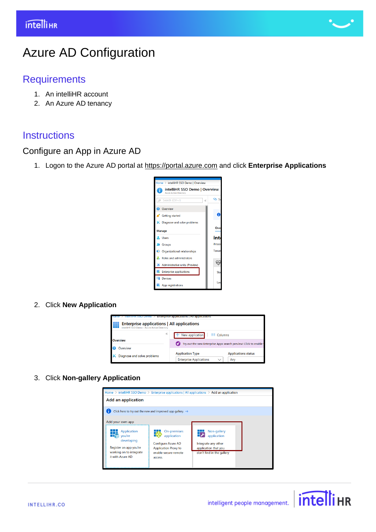

## <span id="page-6-0"></span>Azure AD Configuration

## <span id="page-6-1"></span>**Requirements**

- 1. An intelliHR account
- <span id="page-6-3"></span>2. An Azure AD tenancy

## <span id="page-6-2"></span>**Instructions**

### Configure an App in Azure AD

1. Logon to the Azure AD portal at [https://portal.azure.com](https://portal.azure.com/) and click **Enterprise Applications**



#### 2. Click **New Application**



#### 3. Click **Non-gallery Application**



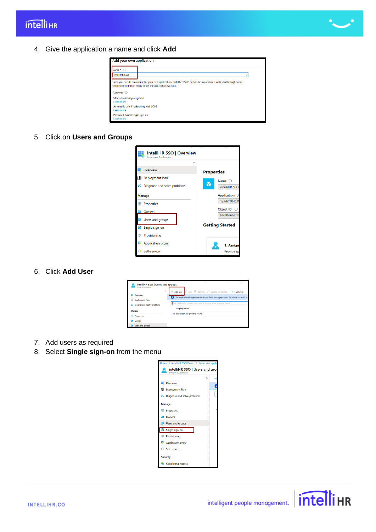

4. Give the application a name and click **Add**

| Add your own application                                                                                                                                                       |  |  |  |  |  |
|--------------------------------------------------------------------------------------------------------------------------------------------------------------------------------|--|--|--|--|--|
| Name * 0                                                                                                                                                                       |  |  |  |  |  |
| intelliHR SSO                                                                                                                                                                  |  |  |  |  |  |
| Once you decide on a name for your new application, click the "Add" button below and we'll walk you through some<br>simple configuration steps to get the application working. |  |  |  |  |  |
| Supports: <b><i>O</i></b>                                                                                                                                                      |  |  |  |  |  |
| SAML-based single sign-on<br>Learn more                                                                                                                                        |  |  |  |  |  |
| Automatic User Provisioning with SCIM<br>Learn more                                                                                                                            |  |  |  |  |  |
| Password-based single sign-on<br>Learn more                                                                                                                                    |  |  |  |  |  |

5. Click on **Users and Groups**



6. Click **Add User**



- 7. Add users as required
- 8. Select **Single sign-on** from the menu





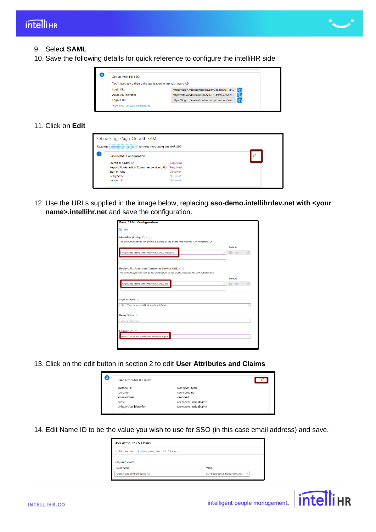

#### 9. Select **SAML**

10. Save the following details for quick reference to configure the intelliHR side



#### 11. Click on **Edit**

| Set up Single Sign-On with SAML                                     |                 |  |
|---------------------------------------------------------------------|-----------------|--|
| Read the configuration guide of for help integrating intelliHR SSO. |                 |  |
| <b>Basic SAML Configuration</b>                                     |                 |  |
| Identifier (Entity ID)                                              | <b>Required</b> |  |
| <b>Reply URL (Assertion Consumer Service URL)</b>                   | <b>Required</b> |  |
| <b>Sign on URL</b>                                                  | Optional        |  |
| <b>Relay State</b>                                                  | Optional        |  |
|                                                                     | Optional        |  |

12. Use the URLs supplied in the image below, replacing **sso-demo.intellihrdev.net with <your name>.intellihr.net** and save the configuration.

| Save<br>Identifier (Entity ID) * @<br>The default identifier will be the audience of the SAML response for IDP-initiated SSO<br><b>Default</b><br>https://sso-demo.intellihrdev.net/saml2/metadata<br>面<br>M<br>$\odot$<br>✓<br>Reply URL (Assertion Consumer Service URL) * ©<br>The default reply URL will be the destination in the SAML response for IDP-initiated SSO<br><b>Default</b><br>https://sso-demo.intellihrdev.net/saml2/acs<br>面<br>$\odot$<br>$\checkmark$<br>M<br>Sign on URL <sup>1</sup><br>https://sso-demo.intellihrdev.net/auth/login<br>Relay State <sup>1</sup><br>Enter a relay state<br>Logout Url @ | <b>Basic SAML Configuration</b>               |  |  |
|---------------------------------------------------------------------------------------------------------------------------------------------------------------------------------------------------------------------------------------------------------------------------------------------------------------------------------------------------------------------------------------------------------------------------------------------------------------------------------------------------------------------------------------------------------------------------------------------------------------------------------|-----------------------------------------------|--|--|
|                                                                                                                                                                                                                                                                                                                                                                                                                                                                                                                                                                                                                                 |                                               |  |  |
|                                                                                                                                                                                                                                                                                                                                                                                                                                                                                                                                                                                                                                 |                                               |  |  |
|                                                                                                                                                                                                                                                                                                                                                                                                                                                                                                                                                                                                                                 |                                               |  |  |
|                                                                                                                                                                                                                                                                                                                                                                                                                                                                                                                                                                                                                                 |                                               |  |  |
|                                                                                                                                                                                                                                                                                                                                                                                                                                                                                                                                                                                                                                 |                                               |  |  |
|                                                                                                                                                                                                                                                                                                                                                                                                                                                                                                                                                                                                                                 |                                               |  |  |
|                                                                                                                                                                                                                                                                                                                                                                                                                                                                                                                                                                                                                                 |                                               |  |  |
|                                                                                                                                                                                                                                                                                                                                                                                                                                                                                                                                                                                                                                 |                                               |  |  |
|                                                                                                                                                                                                                                                                                                                                                                                                                                                                                                                                                                                                                                 |                                               |  |  |
|                                                                                                                                                                                                                                                                                                                                                                                                                                                                                                                                                                                                                                 |                                               |  |  |
|                                                                                                                                                                                                                                                                                                                                                                                                                                                                                                                                                                                                                                 |                                               |  |  |
|                                                                                                                                                                                                                                                                                                                                                                                                                                                                                                                                                                                                                                 |                                               |  |  |
|                                                                                                                                                                                                                                                                                                                                                                                                                                                                                                                                                                                                                                 |                                               |  |  |
|                                                                                                                                                                                                                                                                                                                                                                                                                                                                                                                                                                                                                                 |                                               |  |  |
|                                                                                                                                                                                                                                                                                                                                                                                                                                                                                                                                                                                                                                 |                                               |  |  |
|                                                                                                                                                                                                                                                                                                                                                                                                                                                                                                                                                                                                                                 |                                               |  |  |
|                                                                                                                                                                                                                                                                                                                                                                                                                                                                                                                                                                                                                                 |                                               |  |  |
|                                                                                                                                                                                                                                                                                                                                                                                                                                                                                                                                                                                                                                 |                                               |  |  |
|                                                                                                                                                                                                                                                                                                                                                                                                                                                                                                                                                                                                                                 |                                               |  |  |
|                                                                                                                                                                                                                                                                                                                                                                                                                                                                                                                                                                                                                                 |                                               |  |  |
|                                                                                                                                                                                                                                                                                                                                                                                                                                                                                                                                                                                                                                 | https://sso-demo.intellihrdev.net/auth/logout |  |  |
|                                                                                                                                                                                                                                                                                                                                                                                                                                                                                                                                                                                                                                 |                                               |  |  |

13. Click on the edit button in section 2 to edit **User Attributes and Claims**

| $\overline{2}$ | User Attributes & Claims |                        |  |
|----------------|--------------------------|------------------------|--|
|                | qivenname                | user.givenname         |  |
|                | surname                  | user surname           |  |
|                | emailaddress             | user.mail              |  |
|                | name                     | user.userprincipalname |  |
|                | Unique User Identifier   | user.userprincipalname |  |
|                |                          |                        |  |

14. Edit Name ID to be the value you wish to use for SSO (in this case email address) and save.

| <b>User Attributes &amp; Claims</b>                      |                                      |  |  |  |
|----------------------------------------------------------|--------------------------------------|--|--|--|
| $+$ Add new claim $+$ Add a group claim $\equiv$ Columns |                                      |  |  |  |
| <b>Required claim</b>                                    |                                      |  |  |  |
| Claim name                                               | Value                                |  |  |  |
| Unique User Identifier (Name ID)                         | user.mail [nameid-format:emailAd *** |  |  |  |
|                                                          |                                      |  |  |  |